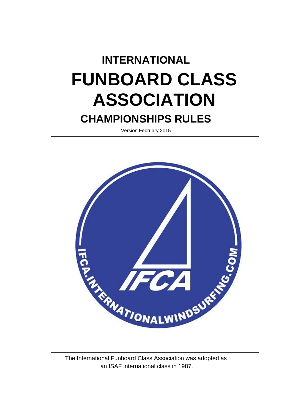# **INTERNATIONAL FUNBOARD CLASS ASSOCIATION CHAMPIONSHIPS RULES**

Version February 2015



The International Funboard Class Association was adopted as an ISAF international class in 1987.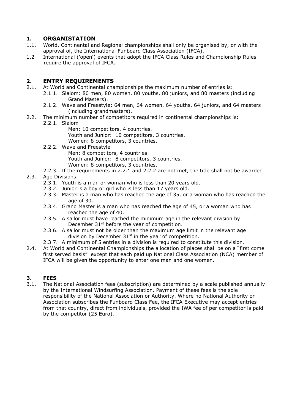#### **1. ORGANISTATION**

- 1.1. World, Continental and Regional championships shall only be organised by, or with the approval of, the International Funboard Class Association (IFCA).
- 1.2 International ('open') events that adopt the IFCA Class Rules and Championship Rules require the approval of IFCA.

#### **2. ENTRY REQUIREMENTS**

- 2.1. At World and Continental championships the maximum number of entries is:
	- 2.1.1. Slalom: 80 men, 80 women, 80 youths, 80 juniors, and 80 masters (including Grand Masters).
	- 2.1.2. Wave and Freestyle: 64 men, 64 women, 64 youths, 64 juniors, and 64 masters (including grandmasters).
- 2.2. The minimum number of competitors required in continental championships is:
	- 2.2.1. Slalom
		- Men: 10 competitors, 4 countries. Youth and Junior: 10 competitors, 3 countries. Women: 8 competitors, 3 countries.
	- 2.2.2. Wave and Freestyle Men: 8 competitors, 4 countries. Youth and Junior: 8 competitors, 3 countries. Women: 8 competitors, 3 countries.
- 2.2.3. If the requirements in 2.2.1 and 2.2.2 are not met, the title shall not be awarded 2.3. Age Divisions
	- 2.3.1. Youth is a man or woman who is less than 20 years old.
	- 2.3.2. Junior is a boy or girl who is less than 17 years old.
	- 2.3.3. Master is a man who has reached the age of 35, or a woman who has reached the age of 30.
	- 2.3.4. Grand Master is a man who has reached the age of 45, or a woman who has reached the age of 40.
	- 2.3.5. A sailor must have reached the minimum age in the relevant division by December 31<sup>st</sup> before the year of competition.
	- 2.3.6. A sailor must not be older than the maximum age limit in the relevant age division by December  $31<sup>st</sup>$  in the year of competition.
	- 2.3.7. A minimum of 5 entries in a division is required to constitute this division.
- 2.4. At World and Continental Championships the allocation of places shall be on a "first come first served basis" except that each paid up National Class Association (NCA) member of IFCA will be given the opportunity to enter one man and one women.

#### **3. FEES**

3.1. The National Association fees (subscription) are determined by a scale published annually by the International Windsurfing Association. Payment of these fees is the sole responsibility of the National Association or Authority. Where no National Authority or Association subscribes the Funboard Class Fee, the IFCA Executive may accept entries from that country, direct from individuals, provided the IWA fee of per competitor is paid by the competitor (25 Euro).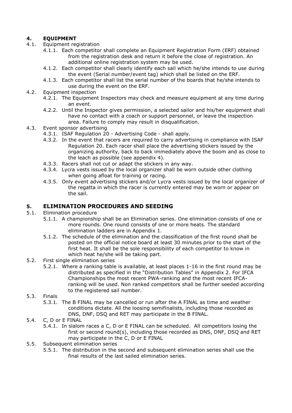#### **4. EQUIPMENT**

- 4.1. Equipment registration
	- 4.1.1. Each competitor shall complete an Equipment Registration Form (ERF) obtained from the registration desk and return it before the close of registration. An additional online registration system may be used.
	- 4.1.2. Each competitor shall clearly identify each sail which he/she intends to use during the event (Serial number/event tag) which shall be listed on the ERF.
	- 4.1.3. Each competitor shall list the serial number of the boards that he/she intends to use during the event on the ERF.
- 4.2. Equipment inspection
	- 4.2.1. The Equipment Inspectors may check and measure equipment at any time during an event.
	- 4.2.2. Until the Inspector gives permission, a selected sailor and his/her equipment shall have no contact with a coach or support personnel, or leave the inspection area. Failure to comply may result in disqualification.
- 4.3. Event sponsor advertising
	- 4.3.1. ISAF Regulation 20 Advertising Code shall apply.
		- 4.3.2. In the event that racers are required to carry advertising in compliance with ISAF Regulation 20. Each racer shall place the advertising stickers issued by the organizing authority, back to back immediately above the boom and as close to the leach as possible (see appendix 4).
		- 4.3.3. Racers shall not cut or adapt the stickers in any way.
		- 4.3.4. Lycra vests issued by the local organizer shall be worn outside other clothing when going afloat for training or racing.
		- 4.3.5. Only event advertising stickers and/or Lycra vests issued by the local organizer of the regatta in which the racer is currently entered may be worn or appear on the sail.

#### **5. ELIMINATION PROCEDURES AND SEEDING**

- 5.1. Elimination procedure
	- 5.1.1. A championship shall be an Elimination series. One elimination consists of one or more rounds. One round consists of one or more heats. The standard elimination ladders are in Appendix 1.
	- 5.1.2. The schedule of the elimination and the classification of the first round shall be posted on the official notice board at least 30 minutes prior to the start of the first heat. It shall be the sole responsibility of each competitor to know in which heat he/she will be taking part.
- 5.2. First single elimination series
	- 5.2.1. Where a ranking table is available, at least places 1-16 in the first round may be distributed as specified in the "Distribution Tables" in Appendix 2. For IFCA Championships the most recent PWA-ranking and the most recent IFCAranking will be used. Non ranked competitors shall be further seeded according to the registered sail number.
- 5.3. Finals
	- 5.3.1. The B FINAL may be cancelled or run after the A FINAL as time and weather conditions dictate. All the loosing semifinalists, including those recorded as DNS, DNF, DSQ and RET may participate in the B FINAL.
- 5.4. C, D or E FINAL
	- 5.4.1. In slalom races a C, D or E FINAL can be scheduled. All competitors losing the first or second round(s), including those recorded as DNS, DNF, DSQ and RET may participate in the C, D or E FINAL
- 5.5. Subsequent elimination series
	- 5.5.1. The distribution in the second and subsequent elimination series shall use the final results of the last sailed elimination series.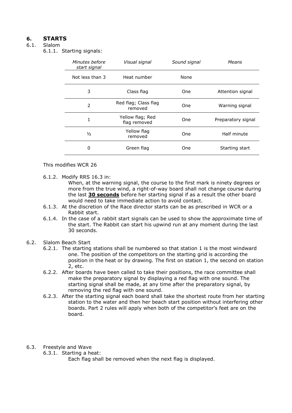#### **6. STARTS**

#### 6.1. Slalom

6.1.1. Starting signals:

| Minutes before<br>start signal | Visual signal                    | Sound signal | Means              |
|--------------------------------|----------------------------------|--------------|--------------------|
| Not less than 3                | Heat number                      | None         |                    |
| 3                              | Class flag                       | One.         | Attention signal   |
| 2                              | Red flag; Class flag<br>removed  | One          | Warning signal     |
| 1                              | Yellow flag; Red<br>flag removed | One.         | Preparatory signal |
| $\frac{1}{2}$                  | Yellow flag<br>removed           | One          | Half minute        |
| 0                              | Green flag                       | One          | Starting start     |
|                                |                                  |              |                    |

This modifies WCR 26

6.1.2. Modify RRS 16.3 in:

When, at the warning signal, the course to the first mark is ninety degrees or more from the true wind, a right-of-way board shall not change course during the last **30 seconds** before her starting signal if as a result the other board would need to take immediate action to avoid contact.

- 6.1.3. At the discretion of the Race director starts can be as prescribed in WCR or a Rabbit start.
- 6.1.4. In the case of a rabbit start signals can be used to show the approximate time of the start. The Rabbit can start his upwind run at any moment during the last 30 seconds.
- 6.2. Slalom Beach Start
	- 6.2.1. The starting stations shall be numbered so that station 1 is the most windward one. The position of the competitors on the starting grid is according the position in the heat or by drawing. The first on station 1, the second on station 2, etc.
	- 6.2.2. After boards have been called to take their positions, the race committee shall make the preparatory signal by displaying a red flag with one sound. The starting signal shall be made, at any time after the preparatory signal, by removing the red flag with one sound.
	- 6.2.3. After the starting signal each board shall take the shortest route from her starting station to the water and then her beach start position without interfering other boards. Part 2 rules will apply when both of the competitor's feet are on the board.
- 6.3. Freestyle and Wave
	- 6.3.1. Starting a heat:

Each flag shall be removed when the next flag is displayed.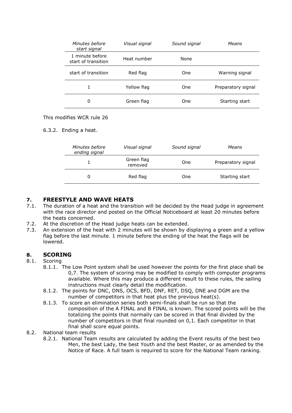| Minutes before<br>start signal         | Visual signal | Sound signal | Means              |
|----------------------------------------|---------------|--------------|--------------------|
| 1 minute before<br>start of transition | Heat number   | None         |                    |
| start of transition                    | Red flag      | One          | Warning signal     |
| 1                                      | Yellow flag   | One          | Preparatory signal |
| 0                                      | Green flag    | One          | Starting start     |

#### This modifies WCR rule 26

#### 6.3.2. Ending a heat.

| Minutes before<br>ending signal | Visual signal         | Sound signal | Means              |  |  |
|---------------------------------|-----------------------|--------------|--------------------|--|--|
|                                 | Green flag<br>removed | One          | Preparatory signal |  |  |
|                                 | Red flag              | One          | Starting start     |  |  |

#### **7. FREESTYLE AND WAVE HEATS**

- 7.1. The duration of a heat and the transition will be decided by the Head judge in agreement with the race director and posted on the Official Noticeboard at least 20 minutes before the heats concerned.
- 7.2. At the discretion of the Head judge heats can be extended.
- 7.3. An extension of the heat with 2 minutes will be shown by displaying a green and a yellow flag before the last minute. 1 minute before the ending of the heat the flags will be lowered.

#### **8. SCORING**

#### 8.1. Scoring

- 8.1.1. The Low Point system shall be used however the points for the first place shall be 0,7. The system of scoring may be modified to comply with computer programs available. Where this may produce a different result to these rules, the sailing instructions must clearly detail the modification.
- 8.1.2. The points for DNC, DNS, OCS, BFD, DNF, RET, DSQ, DNE and DGM are the number of competitors in that heat plus the previous heat(s).
- 8.1.3. To score an elimination series both semi-finals shall be run so that the composition of the A FINAL and B FINAL is known. The scored points will be the totalizing the points that normally can be scored in that final divided by the number of competitors in that final rounded on 0,1. Each competitor in that final shall score equal points.
- 8.2. National team results
	- 8.2.1. National Team results are calculated by adding the Event results of the best two Men, the best Lady, the best Youth and the best Master, or as amended by the Notice of Race. A full team is required to score for the National Team ranking.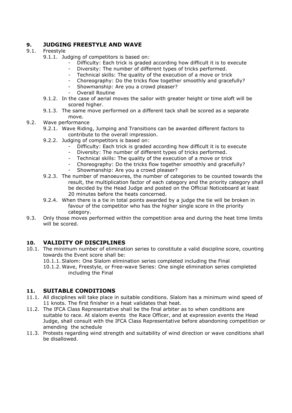#### **9. JUDGING FREESTYLE AND WAVE**

#### 9.1. Freestyle

- 9.1.1. Judging of competitors is based on:
	- Difficulty: Each trick is graded according how difficult it is to execute
	- Diversity: The number of different types of tricks performed.
	- Technical skills: The quality of the execution of a move or trick
	- Choreography: Do the tricks flow together smoothly and gracefully?
	- Showmanship: Are you a crowd pleaser?
	- Overall Routine
- 9.1.2. In the case of aerial moves the sailor with greater height or time aloft will be scored higher.
- 9.1.3. The same move performed on a different tack shall be scored as a separate move.
- 9.2. Wave performance
	- 9.2.1. Wave Riding, Jumping and Transitions can be awarded different factors to contribute to the overall impression.
	- 9.2.2. Judging of competitors is based on:
		- Difficulty: Each trick is graded according how difficult it is to execute
		- Diversity: The number of different types of tricks performed.
		- Technical skills: The quality of the execution of a move or trick
		- Choreography: Do the tricks flow together smoothly and gracefully?
		- Showmanship: Are you a crowd pleaser?
	- 9.2.3. The number of manoeuvres, the number of categories to be counted towards the result, the multiplication factor of each category and the priority category shall be decided by the Head Judge and posted on the Official Noticeboard at least 20 minutes before the heats concerned.
	- 9.2.4. When there is a tie in total points awarded by a judge the tie will be broken in favour of the competitor who has the higher single score in the priority category.
- 9.3. Only those moves performed within the competition area and during the heat time limits will be scored.

#### **10. VALIDITY OF DISCIPLINES**

- 10.1. The minimum number of elimination series to constitute a valid discipline score, counting towards the Event score shall be:
	- 10.1.1. Slalom: One Slalom elimination series completed including the Final

10.1.2. Wave, Freestyle, or Free-wave Series: One single elimination series completed including the Final

#### **11. SUITABLE CONDITIONS**

- 11.1. All disciplines will take place in suitable conditions. Slalom has a minimum wind speed of 11 knots. The first finisher in a heat validates that heat.
- 11.2. The IFCA Class Representative shall be the final arbiter as to when conditions are suitable to race. At slalom events the Race Officer, and at expression events the Head Judge, shall consult with the IFCA Class Representative before abandoning competition or amending the schedule
- 11.3. Protests regarding wind strength and suitability of wind direction or wave conditions shall be disallowed.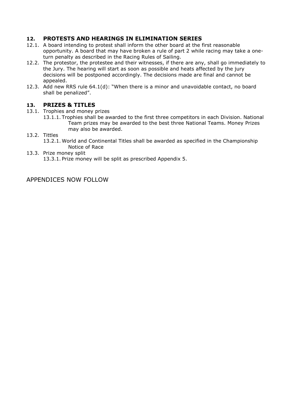#### **12. PROTESTS AND HEARINGS IN ELIMINATION SERIES**

- 12.1. A board intending to protest shall inform the other board at the first reasonable opportunity. A board that may have broken a rule of part 2 while racing may take a oneturn penalty as described in the Racing Rules of Sailing.
- 12.2. The protestor, the protestee and their witnesses, if there are any, shall go immediately to the Jury. The hearing will start as soon as possible and heats affected by the jury decisions will be postponed accordingly. The decisions made are final and cannot be appealed.
- 12.3. Add new RRS rule 64.1(d): "When there is a minor and unavoidable contact, no board shall be penalized".

#### **13. PRIZES & TITLES**

- 13.1. Trophies and money prizes
	- 13.1.1. Trophies shall be awarded to the first three competitors in each Division. National Team prizes may be awarded to the best three National Teams. Money Prizes may also be awarded.
- 13.2. Tittles
	- 13.2.1. World and Continental Titles shall be awarded as specified in the Championship Notice of Race
- 13.3. Prize money split 13.3.1. Prize money will be split as prescribed Appendix 5.

APPENDICES NOW FOLLOW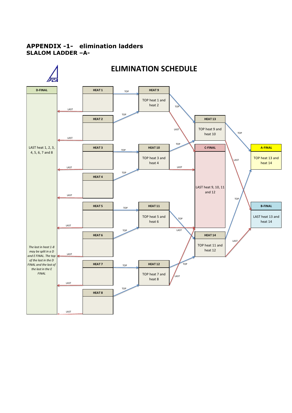#### **APPENDIX -1- elimination ladders SLALOM LADDER –A-**

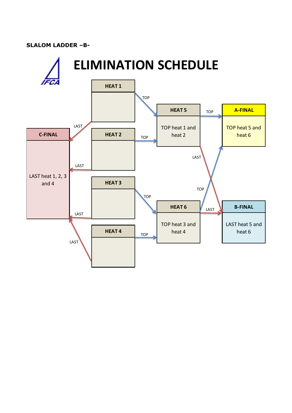#### **SLALOM LADDER –B-**

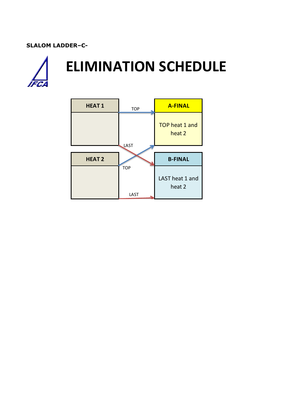#### **SLALOM LADDER–C-**



# **ELIMINATION SCHEDULE**

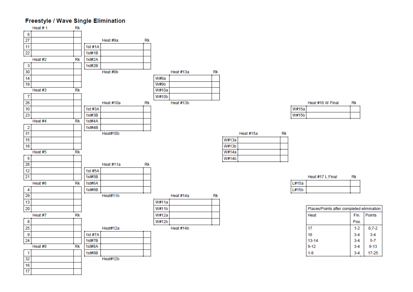#### **Freestyle / Wave Single Elimination**



|         | Heat #16 W Final |  |
|---------|------------------|--|
| W#15a l |                  |  |
| W#1     |                  |  |

|         | Heat #17 L Final | Rk |
|---------|------------------|----|
| l L#15a |                  |    |
| L#15b   |                  |    |

| Places/Points after completed elimination |         |               |  |  |  |  |  |  |
|-------------------------------------------|---------|---------------|--|--|--|--|--|--|
| Heat                                      | Fin.    | <b>Points</b> |  |  |  |  |  |  |
|                                           | Pos.    |               |  |  |  |  |  |  |
| 17                                        | $1-2$   | $0,7-2$       |  |  |  |  |  |  |
| 16                                        | $3 - 4$ | $3 - 4$       |  |  |  |  |  |  |
| $13 - 14$                                 | $3 - 4$ | $5 - 7$       |  |  |  |  |  |  |
| $9 - 12$                                  | $3 - 4$ | $9 - 13$      |  |  |  |  |  |  |
| $1 - 8$                                   | $3 - 4$ | $17 - 25$     |  |  |  |  |  |  |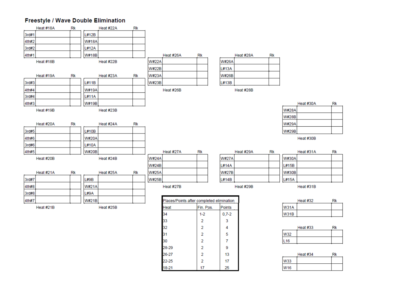### Freestyle / Wave Double Elimination

|       | Heat #18A | Rk |              | Heat #22A | Rk |              |                                           |               |              |           |    |              |           |
|-------|-----------|----|--------------|-----------|----|--------------|-------------------------------------------|---------------|--------------|-----------|----|--------------|-----------|
| 3rd#1 |           |    | L#12B        |           |    |              |                                           |               |              |           |    |              |           |
| 4th#2 |           |    | <b>W#18A</b> |           |    |              |                                           |               |              |           |    |              |           |
| 3rd#2 |           |    | L#12A        |           |    |              |                                           |               |              |           |    |              |           |
| 4th#1 |           |    | <b>W#18B</b> |           |    |              | Heat #26A                                 | Rk            |              | Heat #28A | Rk |              |           |
|       | Heat #18B |    |              | Heat #22B |    | <b>W#22A</b> |                                           |               | <b>W#26A</b> |           |    |              |           |
|       |           |    |              |           |    | <b>W#22B</b> |                                           |               | L#13A        |           |    |              |           |
|       | Heat #19A | Rk |              | Heat #23A | Rk | <b>W#23A</b> |                                           |               | <b>W#26B</b> |           |    |              |           |
| 3rd#3 |           |    | L#11B        |           |    | <b>W#23B</b> |                                           |               | L#13B        |           |    |              |           |
| 4th#4 |           |    | W#19A        |           |    |              | Heat #26B                                 |               |              | Heat #28B |    |              |           |
| 3rd#4 |           |    | L#11A        |           |    |              |                                           |               |              |           |    |              |           |
| 4th#3 |           |    | <b>W#19B</b> |           |    |              |                                           |               |              |           |    |              | Heat #30A |
|       | Heat #19B |    |              | Heat #23B |    |              |                                           |               |              |           |    | <b>W#28A</b> |           |
|       |           |    |              |           |    |              |                                           |               |              |           |    | W#28B        |           |
|       | Heat #20A | Rk |              | Heat #24A | Rk |              |                                           |               |              |           |    | <b>W#29A</b> |           |
| 3rd#5 |           |    | L#10B        |           |    |              |                                           |               |              |           |    | <b>W#29B</b> |           |
| 4th#6 |           |    | <b>W#20A</b> |           |    |              |                                           |               |              |           |    |              | Heat #30B |
| 3rd#6 |           |    | L#10A        |           |    |              |                                           |               |              |           |    |              |           |
| 4th#5 |           |    | <b>W#20B</b> |           |    |              | Heat #27A                                 | Rk            |              | Heat #29A | Rk |              | Heat #31A |
|       | Heat #20B |    |              | Heat #24B |    | <b>W#24A</b> |                                           |               | <b>W#27A</b> |           |    | <b>W#30A</b> |           |
|       |           |    |              |           |    | <b>W#24B</b> |                                           |               | L#14A        |           |    | L#15B        |           |
|       | Heat #21A | Rk |              | Heat #25A | Rk | <b>W#25A</b> |                                           |               | <b>W#27B</b> |           |    | <b>W#30B</b> |           |
| 3rd#7 |           |    | L#9B         |           |    | <b>W#25B</b> |                                           |               | L#14B        |           |    | L#15A        |           |
| 4th#8 |           |    | <b>W#21A</b> |           |    |              | Heat #27B                                 |               |              | Heat #29B |    |              | Heat #31B |
| 3rd#8 |           |    | L#9A         |           |    |              |                                           |               |              |           |    |              |           |
| 4th#7 |           |    | <b>W#21B</b> |           |    |              | Places/Points after completed elimination |               |              |           |    |              | Heat #32  |
|       | Heat #21B |    |              | Heat #25B |    |              | Heat                                      | Fin. Pos.     | Points       |           |    | <b>W31A</b>  |           |
|       |           |    |              |           |    |              | 34                                        | $1 - 2$       | $0,7-2$      |           |    | <b>W31B</b>  |           |
|       |           |    |              |           |    |              | วว                                        | $\mathcal{D}$ | ą.           |           |    |              |           |

| -- | --- |              |  |
|----|-----|--------------|--|
|    |     | <b>W#30A</b> |  |
|    |     | L#15B        |  |
|    |     | <b>W#30B</b> |  |
|    |     | L#15A        |  |
|    |     |              |  |

| Places/Points after completed elimination |                |         |  |  |  |  |  |
|-------------------------------------------|----------------|---------|--|--|--|--|--|
| Heat                                      | Fin. Pos.      | Points  |  |  |  |  |  |
| 34                                        | $1 - 2$        | $0,7-2$ |  |  |  |  |  |
| 33                                        | $\overline{2}$ | 3       |  |  |  |  |  |
| 32                                        | 2              | 4       |  |  |  |  |  |
| 31                                        | 2              | 5       |  |  |  |  |  |
| 30                                        | $\overline{2}$ | 7       |  |  |  |  |  |
| 28-29                                     | 2              | 9       |  |  |  |  |  |
| 26-27                                     | 2              | 13      |  |  |  |  |  |
| 22-25                                     | $\overline{2}$ | 17      |  |  |  |  |  |
| 18-21                                     | 17             | 25      |  |  |  |  |  |

Heat #32  $Rk$ 

 $Rk$ 

Rk

|                       | Heat $#33$ | Rk |
|-----------------------|------------|----|
| <b>W<sub>32</sub></b> |            |    |
| L <sub>16</sub>       |            |    |

|                 | Heat #34 | Rk |
|-----------------|----------|----|
| N33             |          |    |
| W <sub>16</sub> |          |    |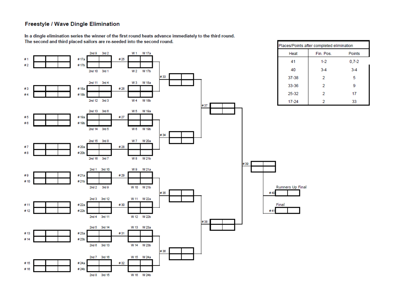#### **Freestyle / Wave Dingle Elimination**

In a dingle elimination series the winner of the first round heats advance immediately to the third round. The second and third placed sailors are re-seeded into the second round.

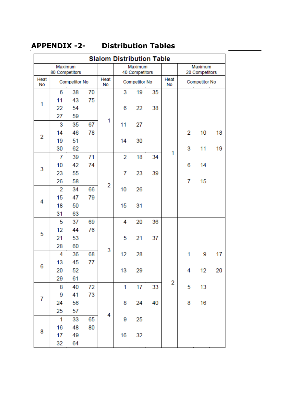# **APPENDIX -2- Distribution Tables**

 $\overline{\phantom{0}}$ 

|           | <b>Slalom Distribution Table</b> |          |    |                |                           |               |    |                           |   |                      |    |
|-----------|----------------------------------|----------|----|----------------|---------------------------|---------------|----|---------------------------|---|----------------------|----|
|           | Maximum<br>80 Competitors        |          |    |                | Maximum<br>40 Competitors |               |    | Maximum<br>20 Competitors |   |                      |    |
| Heat      | Competitor No                    |          |    | Heat           |                           | Competitor No |    | Heat                      |   | <b>Competitor No</b> |    |
| <b>No</b> |                                  |          |    | No             |                           |               |    | No                        |   |                      |    |
|           | 6                                | 38       | 70 |                | 3                         | 19            | 35 |                           |   |                      |    |
| 1         | 11                               | 43       | 75 |                |                           |               |    |                           |   |                      |    |
|           | 22                               | 54       |    |                | 6                         | 22            | 38 |                           |   |                      |    |
|           | 27<br>3                          | 59<br>35 | 67 | 1              | 11                        | 27            |    |                           |   |                      |    |
|           | 14                               | 46       | 78 |                |                           |               |    |                           | 2 | 10                   | 18 |
| 2         | 19                               | 51       |    |                | 14                        | 30            |    |                           |   |                      |    |
|           | 30                               | 62       |    |                |                           |               |    |                           | 3 | 11                   | 19 |
|           | 7                                | 39       | 71 |                | $\overline{2}$            | 18            | 34 | 1                         |   |                      |    |
|           | 10                               | 42       | 74 |                |                           |               |    |                           | 6 | 14                   |    |
| 3         | 23                               | 55       |    |                | 7                         | 23            | 39 |                           |   |                      |    |
|           | 26                               | 58       |    |                |                           |               |    |                           | 7 | 15                   |    |
|           | $\overline{2}$                   | 34       | 66 | $\overline{2}$ | 10                        | 26            |    |                           |   |                      |    |
|           | 15                               | 47       | 79 |                |                           |               |    |                           |   |                      |    |
| 4         | 18                               | 50       |    |                | 15                        | 31            |    |                           |   |                      |    |
|           | 31                               | 63       |    |                |                           |               |    |                           |   |                      |    |
|           | 5                                | 37       | 69 |                | 4                         | 20            | 36 |                           |   |                      |    |
| 5         | 12                               | 44       | 76 |                |                           |               |    |                           |   |                      |    |
|           | 21                               | 53       |    |                | 5                         | 21            | 37 |                           |   |                      |    |
|           | 28                               | 60       |    | 3              |                           |               |    |                           |   |                      |    |
|           | 4                                | 36       | 68 |                | 12                        | 28            |    |                           | 1 | 9                    | 17 |
| 6         | 13                               | 45       | 77 |                |                           |               |    |                           |   |                      |    |
|           | 20                               | 52       |    |                | 13                        | 29            |    |                           | 4 | 12                   | 20 |
|           | 29                               | 61       |    |                |                           |               |    | 2                         |   |                      |    |
|           | 8                                | 40       | 72 |                | 1                         | 17            | 33 |                           | 5 | 13                   |    |
| 7         | 9                                | 41       | 73 |                |                           |               |    |                           |   |                      |    |
|           | 24                               | 56       |    |                | 8                         | 24            | 40 |                           | 8 | 16                   |    |
|           | 25                               | 57       |    | 4              |                           |               |    |                           |   |                      |    |
|           | $\mathbf 1$                      | 33       | 65 |                | 9                         | 25            |    |                           |   |                      |    |
| 8         | 16                               | 48       | 80 |                |                           |               |    |                           |   |                      |    |
|           | 17                               | 49       |    |                | 16                        | 32            |    |                           |   |                      |    |
|           | 32                               | 64       |    |                |                           |               |    |                           |   |                      |    |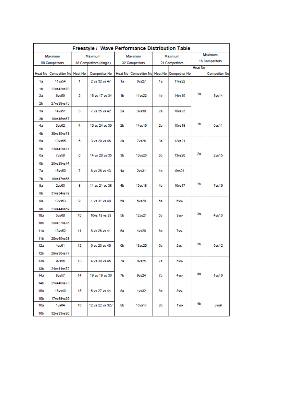| Freestyle / Wave Performance Distribution Table |                               |                         |                      |                |              |                       |                                             |                |                      |  |  |  |
|-------------------------------------------------|-------------------------------|-------------------------|----------------------|----------------|--------------|-----------------------|---------------------------------------------|----------------|----------------------|--|--|--|
|                                                 | Maximum                       |                         | Maximum              |                | Maximum      |                       | Maximum                                     | Maximum        |                      |  |  |  |
| 80 Competitors                                  |                               | 48 Competitors (dingle) |                      | 32 Competitors |              |                       | 24 Competitors                              | 16 Competitors |                      |  |  |  |
|                                                 | Heat No Competitor No Heat No |                         | <b>Competitor No</b> |                |              |                       | Heat No Competitor No Heat No Competitor No | Heat No        | <b>Competitor No</b> |  |  |  |
| 1a                                              | 11vs54                        | 1                       | 2 vs 32 vs 47        | 1a             | <b>8vs27</b> | 1a                    | 11vs22                                      |                |                      |  |  |  |
| 1b                                              | 22vs43vs70                    |                         |                      |                |              |                       |                                             |                |                      |  |  |  |
| 2a                                              | <b>8vs59</b>                  | 2                       | 15 vs 17 vs 34       | 1b             | 11vs22       | 1b                    | 14vs19                                      | 1a             | 3vs14                |  |  |  |
| 2Ь                                              | 27vs38vs75                    |                         |                      |                |              |                       |                                             |                |                      |  |  |  |
| 3a                                              | 14vs51                        | з<br>7 vs 25 vs 42      |                      | 2a             | 3vs30        |                       | 10vs23<br>2a                                |                |                      |  |  |  |
| 3 <sub>b</sub>                                  | 19vs46vs67                    |                         |                      |                |              |                       |                                             |                |                      |  |  |  |
| 4a                                              | 3vs62                         | 4                       | 10 vs 24 vs 39       | 2Ь             | 14vs19       | 2Ь                    | <b>15ys18</b>                               | 1b             | 6vs11                |  |  |  |
| 4b                                              | 30vs35vs78                    |                         |                      |                |              |                       |                                             |                |                      |  |  |  |
| 5a                                              | 10vs55                        | 5                       | 3 vs 29 vs 46        | 3a             | <b>7vs26</b> | 3a                    | 12vs21                                      |                |                      |  |  |  |
| 5 <sub>b</sub>                                  | 23vs42vs71                    |                         |                      |                |              |                       |                                             |                |                      |  |  |  |
| бa                                              | <b>7vs58</b>                  | 6<br>14 vs 20 vs 35     |                      | 3b             | 10vs23       | 3b                    | 13vs20                                      | 2a             | 2vs15                |  |  |  |
| 6b                                              | 26vs39vs74                    |                         |                      |                |              |                       |                                             |                |                      |  |  |  |
| 7a                                              | 15vs50                        | 7                       | 6 vs 28 vs 43        |                | 2vs31<br>4а  |                       | 9vs24<br>4а                                 |                |                      |  |  |  |
| 7b                                              | 18vs47vs66                    |                         |                      |                |              |                       |                                             |                |                      |  |  |  |
| 8а                                              | 2v <sub>563</sub>             | 8                       | 11 vs 21 vs 38       | 4b             | 15ys18       | 4b                    | 16vs17                                      | 2 <sub>b</sub> | <b>7vs10</b>         |  |  |  |
| 8b                                              | 31vs34vs79                    |                         |                      |                |              |                       |                                             |                |                      |  |  |  |
| 9a                                              | 12vs53                        | g                       | 1 vs 31 vs 48        | 5a             | 5vs28        | 5a                    | 6vs-                                        |                |                      |  |  |  |
| 9b                                              | 21vs44vs69                    |                         |                      |                |              |                       |                                             |                |                      |  |  |  |
| 10a                                             | 5v <sub>500</sub>             | 10                      | 16vs 18 vs 33        | 5Ь<br>12vs21   |              | 5Ь                    | 3vs-                                        | 3a             | 4vs13                |  |  |  |
| 10 <sub>b</sub>                                 | 28vs37vs76                    |                         |                      |                |              |                       |                                             |                |                      |  |  |  |
| 11a                                             | 13vs52                        | 8 vs 26 vs 41<br>11     |                      | 6a             | 4vs29        | 6а                    | 7vs-                                        |                |                      |  |  |  |
| 11 <sub>b</sub>                                 | 20vs45vs68                    |                         |                      |                |              |                       |                                             |                |                      |  |  |  |
| 12a                                             | 4v <sub>501</sub>             | 9 vs 23 vs 40<br>12     |                      | 6Ь<br>13vs20   |              | 6Ь<br>2v <sub>5</sub> |                                             | Зb             | <b>5ys12</b>         |  |  |  |
| 12 <sub>b</sub>                                 | 29vs36vs77                    |                         |                      |                |              |                       |                                             |                |                      |  |  |  |
| 13a                                             | 9vs56                         | 13                      | 4 vs 30 vs 45        | 7a             | <b>8vs25</b> | 7a                    | 5vs-                                        |                |                      |  |  |  |
| 13 <sub>b</sub>                                 | 24vs41vs72                    |                         |                      |                |              |                       |                                             |                |                      |  |  |  |
| 14a                                             | 8vs57                         | 14                      | 19 vs 19 vs 36       | 7b             | 9vs24        | 7b                    | 4vs-                                        | 4a             | 1vs16                |  |  |  |
| 14b                                             | 25vs40vs73                    |                         |                      |                |              |                       |                                             |                |                      |  |  |  |
| 15a                                             | 16vs49                        | 15                      | 5 vs 27 vs 44        | 8а             | <b>1vs32</b> | 8а                    | 8vs-                                        |                |                      |  |  |  |
| 15b                                             | 17vs48vs65                    |                         |                      |                |              |                       |                                             |                |                      |  |  |  |
| 16a                                             | 1 <sub>vs</sub> 64            | 16                      | 12 vs 22 vs 327      | 8Ь             | 16vs17       | 8b                    | $1vs-$                                      | 4b             | 8vs9                 |  |  |  |
| 16 <sub>b</sub>                                 | 32vs33vs80                    |                         |                      |                |              |                       |                                             |                |                      |  |  |  |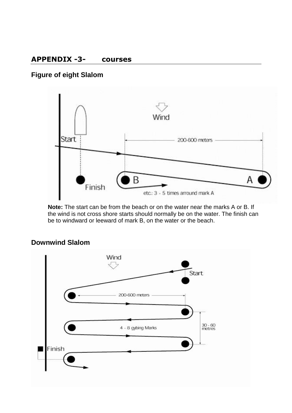### **APPENDIX -3- courses**

# **Figure of eight Slalom**



**Note:** The start can be from the beach or on the water near the marks A or B. If the wind is not cross shore starts should normally be on the water. The finish can be to windward or leeward of mark B, on the water or the beach.



# **Downwind Slalom**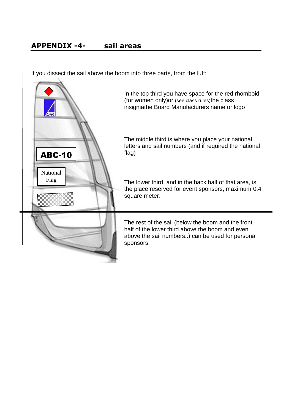If you dissect the sail above the boom into three parts, from the luff:



In the top third you have space for the red rhomboid (for women only)or (see class rules)the class insigniathe Board Manufacturers name or logo

The middle third is where you place your national letters and sail numbers (and if required the national flag)

The lower third, and in the back half of that area, is the place reserved for event sponsors, maximum 0,4 square meter.

The rest of the sail (below the boom and the front half of the lower third above the boom and even above the sail numbers..) can be used for personal sponsors.